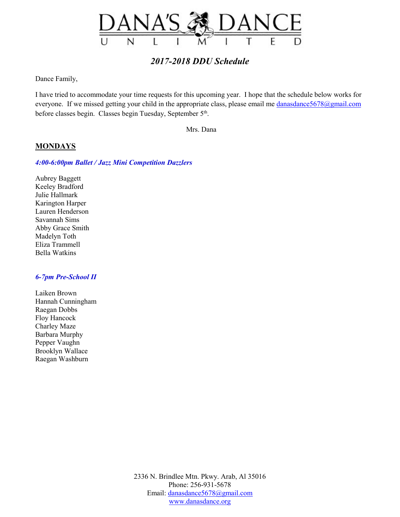

Dance Family,

I have tried to accommodate your time requests for this upcoming year. I hope that the schedule below works for everyone. If we missed getting your child in the appropriate class, please email me danasdance5678@gmail.com before classes begin. Classes begin Tuesday, September 5<sup>th</sup>.

Mrs. Dana

## **MONDAYS**

## *4:00-6:00pm Ballet / Jazz Mini Competition Dazzlers*

Aubrey Baggett Keeley Bradford Julie Hallmark Karington Harper Lauren Henderson Savannah Sims Abby Grace Smith Madelyn Toth Eliza Trammell Bella Watkins

## *6-7pm Pre-School II*

Laiken Brown Hannah Cunningham Raegan Dobbs Floy Hancock Charley Maze Barbara Murphy Pepper Vaughn Brooklyn Wallace Raegan Washburn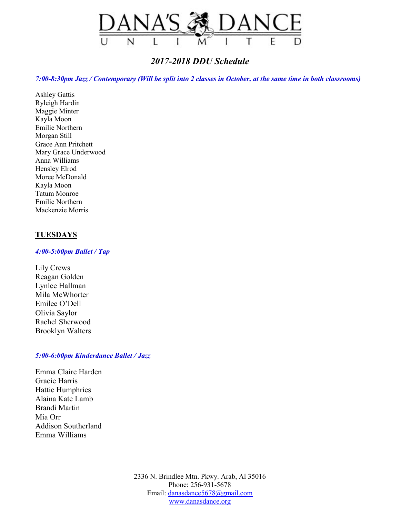

*7:00-8:30pm Jazz / Contemporary (Will be split into 2 classes in October, at the same time in both classrooms)* 

Ashley Gattis Ryleigh Hardin Maggie Minter Kayla Moon Emilie Northern Morgan Still Grace Ann Pritchett Mary Grace Underwood Anna Williams Hensley Elrod Moree McDonald Kayla Moon Tatum Monroe Emilie Northern Mackenzie Morris

## **TUESDAYS**

## *4:00-5:00pm Ballet / Tap*

Lily Crews Reagan Golden Lynlee Hallman Mila McWhorter Emilee O'Dell Olivia Saylor Rachel Sherwood Brooklyn Walters

## *5:00-6:00pm Kinderdance Ballet / Jazz*

Emma Claire Harden Gracie Harris Hattie Humphries Alaina Kate Lamb Brandi Martin Mia Orr Addison Southerland Emma Williams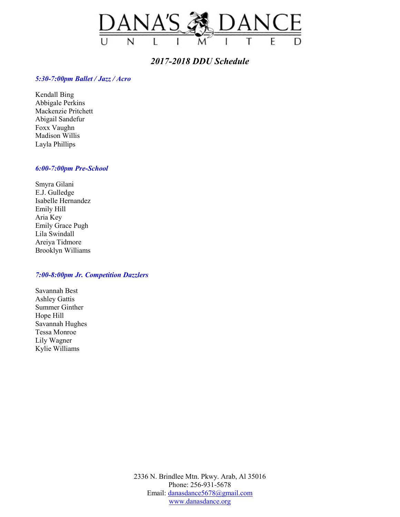

## *5:30-7:00pm Ballet / Jazz / Acro*

Kendall Bing Abbigale Perkins Mackenzie Pritchett Abigail Sandefur Foxx Vaughn Madison Willis Layla Phillips

## *6:00-7:00pm Pre-School*

Smyra Gilani E.J. Gulledge Isabelle Hernandez Emily Hill Aria Key Emily Grace Pugh Lila Swindall Areiya Tidmore Brooklyn Williams

## *7:00-8:00pm Jr. Competition Dazzlers*

Savannah Best Ashley Gattis Summer Ginther Hope Hill Savannah Hughes Tessa Monroe Lily Wagner Kylie Williams

> 2336 N. Brindlee Mtn. Pkwy. Arab, Al 35016 Phone: 256-931-5678 Email: danasdance5678@gmail.com www.danasdance.org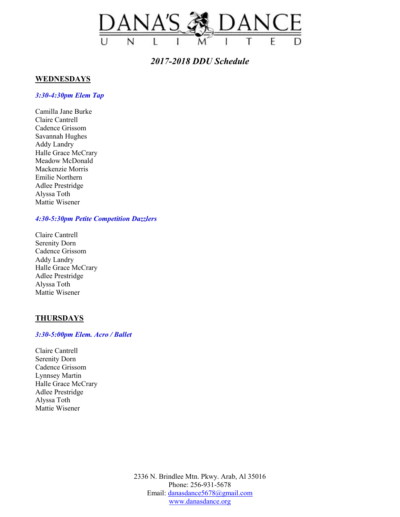

## **WEDNESDAYS**

#### *3:30-4:30pm Elem Tap*

Camilla Jane Burke Claire Cantrell Cadence Grissom Savannah Hughes Addy Landry Halle Grace McCrary Meadow McDonald Mackenzie Morris Emilie Northern Adlee Prestridge Alyssa Toth Mattie Wisener

## *4:30-5:30pm Petite Competition Dazzlers*

Claire Cantrell Serenity Dorn Cadence Grissom Addy Landry Halle Grace McCrary Adlee Prestridge Alyssa Toth Mattie Wisener

## **THURSDAYS**

## *3:30-5:00pm Elem. Acro / Ballet*

Claire Cantrell Serenity Dorn Cadence Grissom Lynnsey Martin Halle Grace McCrary Adlee Prestridge Alyssa Toth Mattie Wisener

> 2336 N. Brindlee Mtn. Pkwy. Arab, Al 35016 Phone: 256-931-5678 Email: danasdance5678@gmail.com www.danasdance.org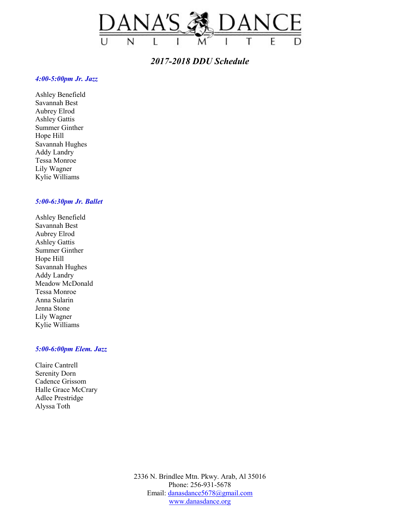

## *4:00-5:00pm Jr. Jazz*

Ashley Benefield Savannah Best Aubrey Elrod Ashley Gattis Summer Ginther Hope Hill Savannah Hughes Addy Landry Tessa Monroe Lily Wagner Kylie Williams

## *5:00-6:30pm Jr. Ballet*

Ashley Benefield Savannah Best Aubrey Elrod Ashley Gattis Summer Ginther Hope Hill Savannah Hughes Addy Landry Meadow McDonald Tessa Monroe Anna Sularin Jenna Stone Lily Wagner Kylie Williams

## *5:00-6:00pm Elem. Jazz*

Claire Cantrell Serenity Dorn Cadence Grissom Halle Grace McCrary Adlee Prestridge Alyssa Toth